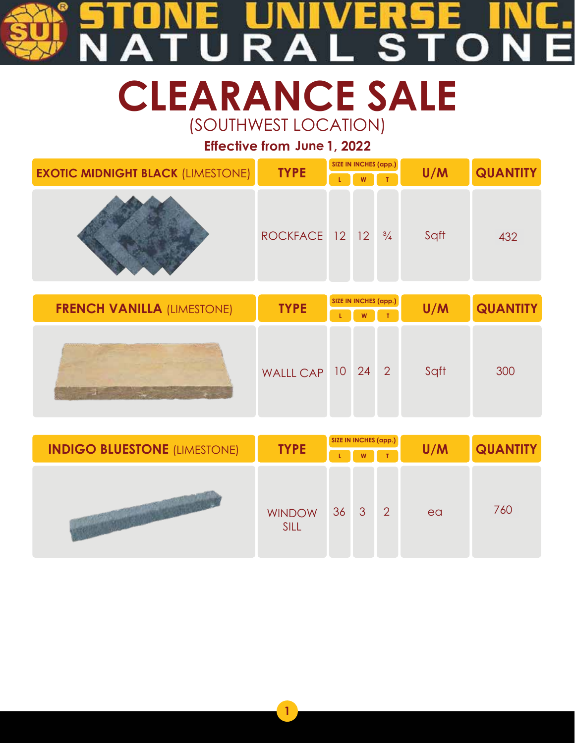## ER

**CLEARANCE SALE CLEARANCE SALE** (SOUTHWEST LOCATION) (SOUTHWEST LOCATION)

**Effective from June 1, 2022** 

| <b>TYPE</b><br>U/M<br><b>EXOTIC MIDNIGHT BLACK (LIMESTONE)</b><br>Sqft<br>ROCKFACE 12 12<br>$\frac{3}{4}$<br>432<br>SIZE IN INCHES (app.)<br><b>TYPE</b><br>U/M<br><b>FRENCH VANILLA (LIMESTONE)</b> |  |  |  | <b>QUANTITY</b> |
|------------------------------------------------------------------------------------------------------------------------------------------------------------------------------------------------------|--|--|--|-----------------|
|                                                                                                                                                                                                      |  |  |  |                 |
|                                                                                                                                                                                                      |  |  |  |                 |
|                                                                                                                                                                                                      |  |  |  |                 |
|                                                                                                                                                                                                      |  |  |  | <b>QUANTITY</b> |
|                                                                                                                                                                                                      |  |  |  |                 |
| $\overline{2}$<br>Sqft<br>300<br>WALLL CAP 10 24<br>$-1$                                                                                                                                             |  |  |  |                 |

| <b>INDIGO BLUESTONE (LIMESTONE)</b> | <b>TYPE</b>                  |              | W | SIZE IN INCHES (app.) | U/M | <b>QUANTITY</b> |
|-------------------------------------|------------------------------|--------------|---|-----------------------|-----|-----------------|
|                                     | <b>WINDOW</b><br><b>SILL</b> | $36 \quad 3$ |   | $\vert$ 2             | ea  | 760             |